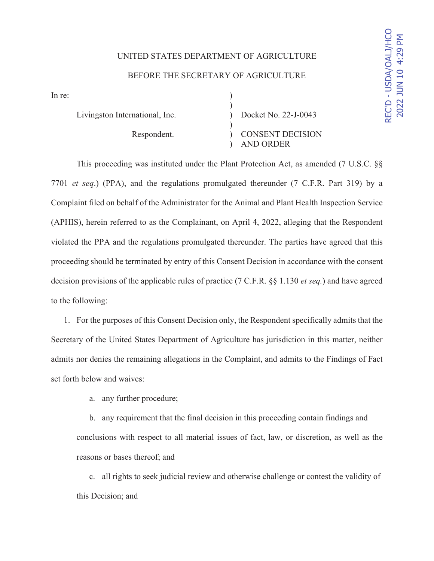# UNITED STATES DEPARTMENT OF AGRICULTURE BEFORE THE SECRETARY OF AGRICULTURE

 $\ln$  re:  $\qquad \qquad$  )

 $)$ Livingston International, Inc. (b) Docket No. 22-J-0043  $\overline{\phantom{a}}$ 

Respondent.  $\qquad \qquad$  CONSENT DECISION ) AND ORDER

This proceeding was instituted under the Plant Protection Act, as amended (7 U.S.C. §§ 7701 *et seq*.) (PPA), and the regulations promulgated thereunder (7 C.F.R. Part 319) by a Complaint filed on behalf of the Administrator for the Animal and Plant Health Inspection Service (APHIS), herein referred to as the Complainant, on April 4, 2022, alleging that the Respondent violated the PPA and the regulations promulgated thereunder. The parties have agreed that this proceeding should be terminated by entry of this Consent Decision in accordance with the consent decision provisions of the applicable rules of practice (7 C.F.R. §§ 1.130 *et seq.*) and have agreed to the following:

1. For the purposes of this Consent Decision only, the Respondent specifically admits that the Secretary of the United States Department of Agriculture has jurisdiction in this matter, neither admits nor denies the remaining allegations in the Complaint, and admits to the Findings of Fact set forth below and waives:

a. any further procedure;

b. any requirement that the final decision in this proceeding contain findings and conclusions with respect to all material issues of fact, law, or discretion, as well as the reasons or bases thereof; and

c. all rights to seek judicial review and otherwise challenge or contest the validity of this Decision; and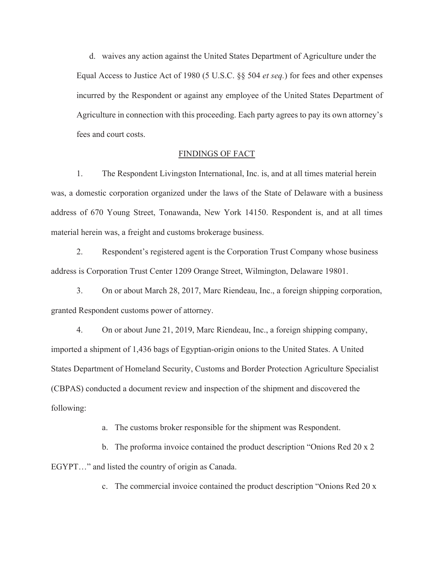d. waives any action against the United States Department of Agriculture under the Equal Access to Justice Act of 1980 (5 U.S.C. §§ 504 *et seq.*) for fees and other expenses incurred by the Respondent or against any employee of the United States Department of Agriculture in connection with this proceeding. Each party agrees to pay its own attorney's fees and court costs.

#### FINDINGS OF FACT

1. The Respondent Livingston International, Inc. is, and at all times material herein was, a domestic corporation organized under the laws of the State of Delaware with a business address of 670 Young Street, Tonawanda, New York 14150. Respondent is, and at all times material herein was, a freight and customs brokerage business.

2. Respondent's registered agent is the Corporation Trust Company whose business address is Corporation Trust Center 1209 Orange Street, Wilmington, Delaware 19801.

3. On or about March 28, 2017, Marc Riendeau, Inc., a foreign shipping corporation, granted Respondent customs power of attorney.

4. On or about June 21, 2019, Marc Riendeau, Inc., a foreign shipping company, imported a shipment of 1,436 bags of Egyptian-origin onions to the United States. A United States Department of Homeland Security, Customs and Border Protection Agriculture Specialist (CBPAS) conducted a document review and inspection of the shipment and discovered the following:

a. The customs broker responsible for the shipment was Respondent.

b. The proforma invoice contained the product description "Onions Red 20 x 2 EGYPT…" and listed the country of origin as Canada.

c. The commercial invoice contained the product description "Onions Red 20 x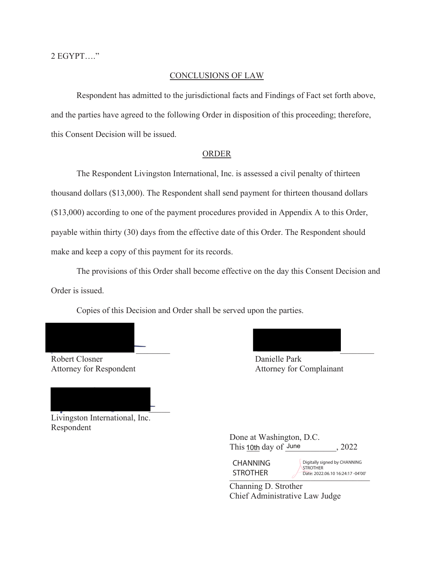2 EGYPT…."

#### CONCLUSIONS OF LAW

 Respondent has admitted to the jurisdictional facts and Findings of Fact set forth above, and the parties have agreed to the following Order in disposition of this proceeding; therefore, this Consent Decision will be issued.

#### ORDER

The Respondent Livingston International, Inc. is assessed a civil penalty of thirteen thousand dollars (\$13,000). The Respondent shall send payment for thirteen thousand dollars (\$13,000) according to one of the payment procedures provided in Appendix A to this Order, payable within thirty (30) days from the effective date of this Order. The Respondent should make and keep a copy of this payment for its records.

 The provisions of this Order shall become effective on the day this Consent Decision and Order is issued.

Copies of this Decision and Order shall be served upon the parties.

 $\overline{\phantom{a}}$ 

 $\overline{\phantom{0}}$ 

\_\_\_\_\_\_\_\_ \_\_\_\_\_\_\_\_ Robert Closner Danielle Park Attorney for Respondent Attorney for Complainant  $\overline{\phantom{a}}$ 

Livingston International, Inc. Respondent

 Done at Washington, D.C.  $\gamma$  This 10th day of June  $\gamma$ , 2022 **CHANNING** 

 $\sum$  | KU | ITEK 2022.06.10 16:24:17 -04'00' **STROTHER** Digitally signed by CHANNING STROTHER Date: 2022.06.10 16:24:17 -04'00'

 Channing D. Strother Chief Administrative Law Judge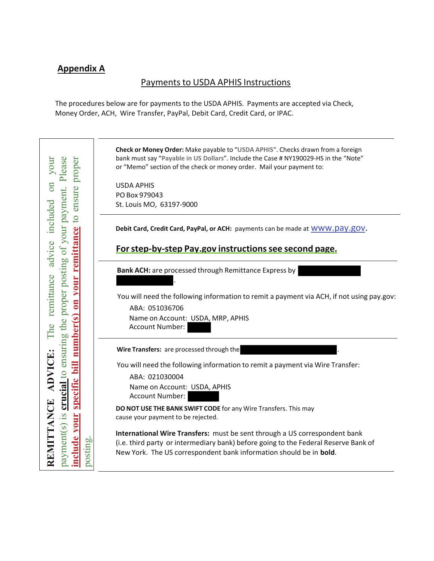## **Appendix A**

### Payments to USDA APHIS Instructions

The procedures below are for payments to the USDA APHIS. Payments are accepted via Check, Money Order, ACH, Wire Transfer, PayPal, Debit Card, Credit Card, or IPAC.

**Check or Money Order:** Make payable to "**USDA APHIS"**. Checks drawn from a foreign **REMITTANCE ADVICE:** The remittance advice included on your payment(s) is **crucial** to ensuring the proper posting of your payment. Please **include your specific bill number(s) on your remittance** to ensure proper Please bank must say "**Payable in US Dollars**". Include the Case # NY190029-HS in the "Note" your proper or "Memo" section of the check or money order. Mail your payment to:  $\sin$ USDA APHIS payment. ensure PO Box 979043 included St. Louis MO, 63197-9000  $\overline{c}$ crucial to ensuring the proper posting of your **your remittance Debit Card, Credit Card, PayPal, or ACH:** payments can be made at www.pay.gov. advice **For step-by-step Pay.gov instructions see second page. Bank ACH:** are processed through Remittance Express by remittance . You will need the following information to remit a payment via ACH, if not using pay.gov:  $\mathbf{m}$ ABA: 051036706 number(s) Name on Account: USDA, MRP, APHIS The Account Number: Wire Transfers: are processed through the **ADVICE:** bill You will need the following information to remit a payment via Wire Transfer: ABA: 021030004 **Specific** Name on Account: USDA, APHIS Account Number: REMITTANCE **DO NOT USE THE BANK SWIFT CODE** for any Wire Transfers. This may  $\mathbf{2}$ . include vour cause your payment to be rejected. payment(s) **International Wire Transfers:** must be sent through a US correspondent bank posting.(i.e. third party or intermediary bank) before going to the Federal Reserve Bank of New York. The US correspondent bank information should be in **bold**.